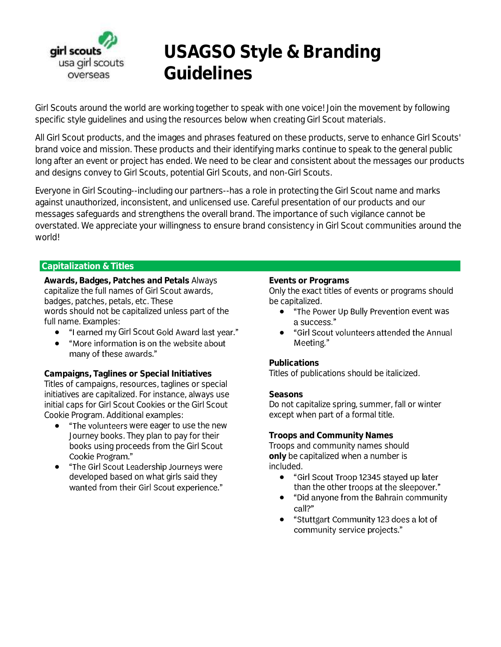

# **USAGSO Style & Branding Guidelines**

Girl Scouts around the world are working together to speak with one voice! Join the movement by following specific style guidelines and using the resources below when creating Girl Scout materials.

All Girl Scout products, and the images and phrases featured on these products, serve to enhance Girl Scouts' brand voice and mission. These products and their identifying marks continue to speak to the general public long after an event or project has ended. We need to be clear and consistent about the messages our products and designs convey to Girl Scouts, potential Girl Scouts, and non-Girl Scouts.

Everyone in Girl Scouting--including our partners--has a role in protecting the Girl Scout name and marks against unauthorized, inconsistent, and unlicensed use. Careful presentation of our products and our messages safeguards and strengthens the overall brand. The importance of such vigilance cannot be overstated. We appreciate your willingness to ensure brand consistency in Girl Scout communities around the world!

## **Capitalization & Titles**

**Awards, Badges, Patches and Petals** Always capitalize the full names of Girl Scout awards, badges, patches, petals, etc. These words should not be capitalized unless part of the full name. Examples:

- "I earned my Girl Scout Gold Award last year."
- "More information is on the website about many of these awards."

**Campaigns, Taglines or Special Initiatives**  Titles of campaigns, resources, taglines or special initiatives are capitalized. For instance, always use initial caps for Girl Scout Cookies or the Girl Scout Cookie Program. Additional examples:

- "The volunteers were eager to use the new Journey books. They plan to pay for their books using proceeds from the Girl Scout Cookie Program."
- "The Girl Scout Leadership Journeys were developed based on what girls said they<br>wanted from their Girl Scout experience."

#### **Events or Programs**

Only the exact titles of events or programs should be capitalized.

- "The Power Up Bully Prevention event was a success."
- "Girl Scout volunteers attended the Annual Meeting."

**Publications** Titles of publications should be italicized.

**Seasons**

Do not capitalize spring, summer, fall or winter except when part of a formal title.

**Troops and Community Names** Troops and community names should **only** be capitalized when a number is included.

- "Girl Scout Troop 12345 stayed up later than the other troops at the sleepover."
- "Did anyone from the Bahrain community  $\bullet$ call?"
- "Stuttgart Community 123 does a lot of ●community service projects."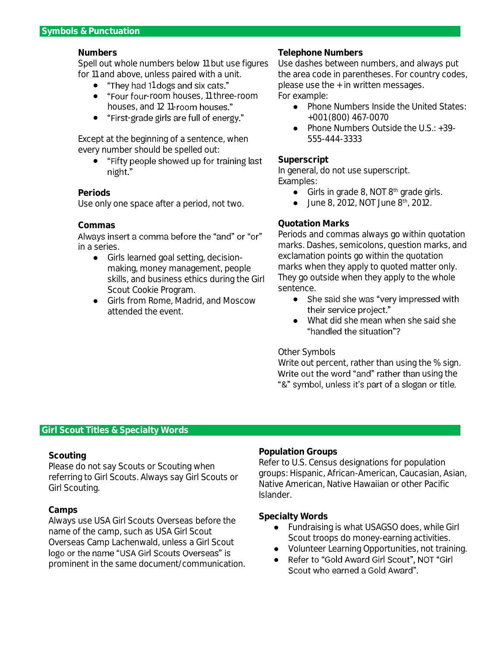## **Numbers**

Spell out whole numbers below 11 but use figures for 11 and above, unless paired with a unit.

- "They had 11 dogs and six cats."
- "Four four-room houses, 11 three-room houses, and 12 11-room houses."
- "First-grade girls are full of energy."

Except at the beginning of a sentence, when every number should be spelled out:

● "Fifty people showed up for training last night."

## **Periods**

Use only one space after a period, not two.

## **Commas**

Always insert a comma before the "and" or "or" in a series.

- Girls learned goal setting, decisionmaking, money management, people skills, and business ethics during the Girl Scout Cookie Program.
- Girls from Rome, Madrid, and Moscow attended the event.

#### **Telephone Numbers**

Use dashes between numbers, and always put the area code in parentheses. For country codes, please use the + in written messages. For example:

- Phone Numbers Inside the United States: +001 (800) 467-0070
- Phone Numbers Outside the U.S.: +39-555-444-3333

#### **Superscript**

In general, do not use superscript. Examples:

- Girls in grade 8, NOT 8<sup>th</sup> grade girls.
- $\bullet$  June 8, 2012, NOT June 8<sup>th</sup>, 2012.

## **Quotation Marks**

Periods and commas always go within quotation marks. Dashes, semicolons, question marks, and exclamation points go within the quotation marks when they apply to quoted matter only. They go outside when they apply to the whole sentence.

- She said she was "very impressed with ● their service project."
- What did she mean when she said she "handled the situation"?

#### Other Symbols

Write out percent, rather than using the % sign. Write out the word "and" rather than using the "&" symbol, unless it's part of a slogan or title.

#### **Girl Scout Titles & Specialty Words**

## **Scouting**

Please do not say Scouts or Scouting when referring to Girl Scouts. Always say Girl Scouts or Girl Scouting.

## **Camps**

Always use USA Girl Scouts Overseas before the name of the camp, such as USA Girl Scout Overseas Camp Lachenwald, unless a Girl Scout logo or the name "USA Girl Scouts Overseas" is prominent in the same document/communication.

## **Population Groups**

Refer to U.S. Census designations for population groups: Hispanic, African-American, Caucasian, Asian, Native American, Native Hawaiian or other Pacific Islander.

#### **Specialty Words**

- Fundraising is what USAGSO does, while Girl Scout troops do money-earning activities.
- Volunteer Learning Opportunities, not training.
- Refer to "Gold Award Girl Scout", NOT "Girl Scout who earned a Gold Award".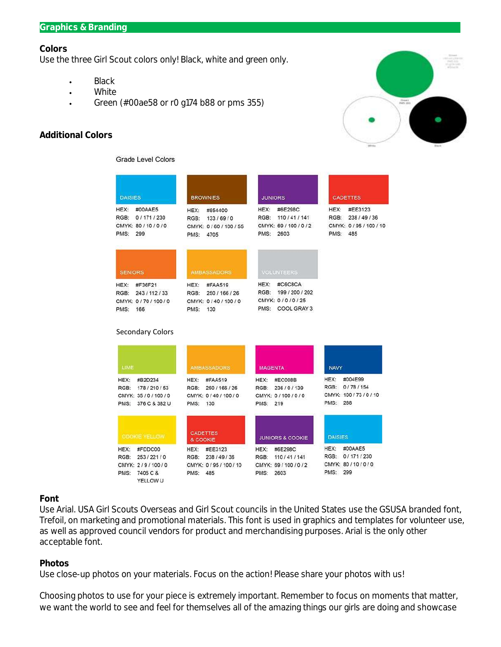#### **Graphics & Branding**

#### **Colors**

Use the three Girl Scout colors only! Black, white and green only.

- Black  $\bullet$
- White  $\ddot{\phantom{0}}$
- Green (#00ae58 or r0 g174 b88 or pms 355)  $\bullet$

## **Additional Colors**



#### **Grade Level Colors**

| <b>DAISIES</b>                                                           | <b>BROWNIES</b>                                                          | <b>JUNIORS</b>                                                            | <b>CADETTES</b>                                                    |
|--------------------------------------------------------------------------|--------------------------------------------------------------------------|---------------------------------------------------------------------------|--------------------------------------------------------------------|
| HEX:<br>#00AAE5<br>RGB:<br>0/171/230<br>CMYK: 80/10/0/0<br>PMS:<br>299   | HEX:<br>#854400<br>RGB:<br>133/69/0<br>CMYK: 0/60/100/55<br>PMS:<br>4705 | HEX:<br>#6E298C<br>RGB:<br>110/41/141<br>CMYK: 69/100/0/2<br>PMS: 2603    | HEX:<br>#EE3123<br>RGB: 238/49/36<br>CMYK: 0/95/100/10<br>PMS: 485 |
| <b>SENIORS</b>                                                           | <b>AMBASSADORS</b>                                                       | <b>VOLUNTEERS</b>                                                         |                                                                    |
| HEX:<br>#F36F21<br>RGB:<br>243/112/33<br>CMYK: 0/70/100/0<br>PMS:<br>166 | HEX:<br>#FAA519<br>RGB: 250/166/26<br>CMYK: 0/40/100/0<br>PMS: 130       | HEX:<br>#C6C8CA<br>RGB: 199/200/202<br>CMYK: 0/0/0/25<br>PMS: COOL GRAY 3 |                                                                    |
| <b>Secondary Colors</b>                                                  |                                                                          |                                                                           |                                                                    |
|                                                                          |                                                                          |                                                                           |                                                                    |
| LIME                                                                     | <b>AMBASSADORS</b>                                                       | <b>MAGENTA</b>                                                            | <b>NAVY</b>                                                        |
| HEX:<br>#B2D234                                                          | HEX:<br>#FAA519                                                          | #EC008B<br>HEX:                                                           | #004E99<br>HEX:                                                    |
| RGB:<br>178/210/53<br>CMYK: 35/0/100/0<br>376 C & 382 U<br>PMS:          | RGB:<br>250 / 166 / 26<br>CMYK: 0/40/100/0<br>PMS:<br>130                | RGB: 236/0/139<br>CMYK: 0/100/0/0<br>PMS: 219                             | RGB: 0/78/154<br>CMYK: 100 / 73 / 0 / 10<br>PMS: 288               |
| <b>COOKIE YELLOW</b>                                                     | <b>CADETTES</b><br>& COOKIE                                              | <b>JUNIORS &amp; COOKIE</b>                                               | <b>DAISIES</b>                                                     |
| <b>HEX:</b><br>#FDDC00                                                   | HEX:<br>#EE3123                                                          | HEX:<br>#6E298C                                                           | HEX: #00AAE5                                                       |
| 253/221/0<br>RGB:<br>CMYK: 2/9/100/0                                     | RGB:<br>238 / 49 / 36<br>CMYK: 0/95/100/10                               | RGB: 110/41/141<br>CMYK: 69/100/0/2                                       | RGB: 0/171/230<br>CMYK: 80/10/0/0                                  |

#### **Font**

Use Arial. USA Girl Scouts Overseas and Girl Scout councils in the United States use the GSUSA branded font, Trefoil, on marketing and promotional materials. This font is used in graphics and templates for volunteer use, as well as approved council vendors for product and merchandising purposes. Arial is the only other acceptable font.

#### **Photos**

Use close-up photos on your materials. Focus on the action! Please share your photos with us!

Choosing photos to use for your piece is extremely important. Remember to focus on moments that matter, we want the world to see and feel for themselves all of the amazing things our girls are doing and showcase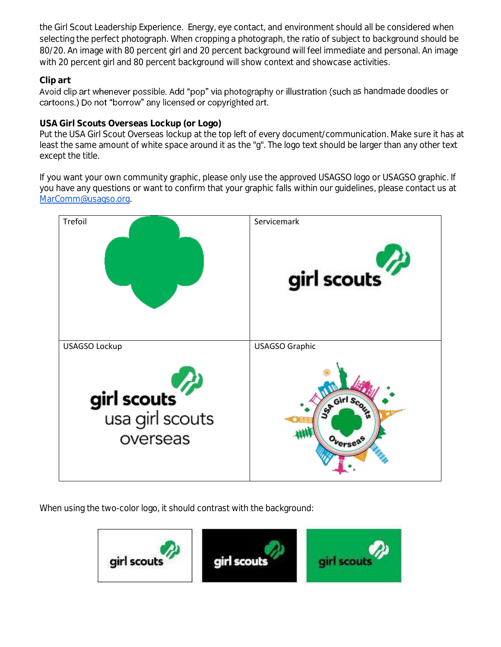the Girl Scout Leadership Experience. Energy, eye contact, and environment should all be considered when selecting the perfect photograph. When cropping a photograph, the ratio of subject to background should be 80/20. An image with 80 percent girl and 20 percent background will feel immediate and personal. An image with 20 percent girl and 80 percent background will show context and showcase activities.

## **Clip art**

Avoid clip art whenever possible. Add "pop" via photography or illustration (such as handmade doodles or cartoons.) Do not "borrow" any licensed or copyrighted art.

# **USA Girl Scouts Overseas Lockup (or Logo)**

Put the USA Girl Scout Overseas lockup at the top left of every document/communication. Make sure it has at least the same amount of white space around it as the "g". The logo text should be larger than any other text except the title.

If you want your own community graphic, please only use the approved USAGSO logo or USAGSO graphic. If you have any questions or want to confirm that your graphic falls within our guidelines, please contact us at [MarComm@usagso.org.](mailto:MarComm@usagso.org) 



When using the two-color logo, it should contrast with the background: